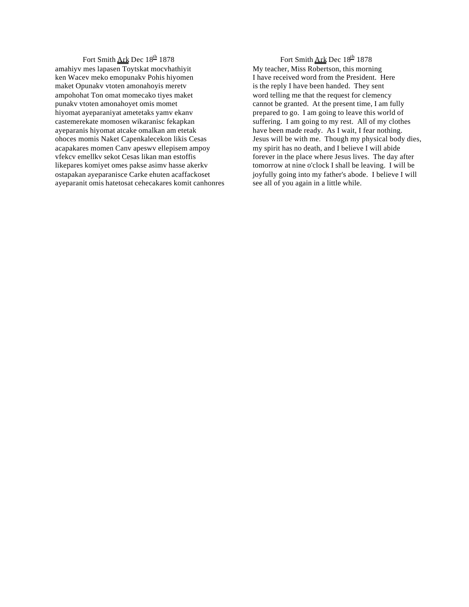## Fort Smith Ark Dec 18<sup>th</sup> 1878 amahiyv mes lapasen Toytskat mocvhathiyit ken Wacev meko emopunakv Pohis hiyomen maket Opunakv vtoten amonahoyis meretv ampohohat Ton omat momecako tiyes maket punakv vtoten amonahoyet omis momet hiyomat ayeparaniyat ametetaks yamv ekanv castemerekate momosen wikaranisc fekapkan ayeparanis hiyomat atcake omalkan am etetak ohoces momis Naket Capenkalecekon likis Cesas acapakares momen Canv apeswv ellepisem ampoy vfekcv emellkv sekot Cesas likan man estoffis likepares komiyet omes pakse asimv hasse akerkv ostapakan ayeparanisce Carke ehuten acaffackoset ayeparanit omis hatetosat cehecakares komit canhonres

Fort Smith Ark Dec 18<sup>th</sup> 1878 My teacher, Miss Robertson, this morning I have received word from the President. Here is the reply I have been handed. They sent word telling me that the request for clemency cannot be granted. At the present time, I am fully prepared to go. I am going to leave this world of suffering. I am going to my rest. All of my clothes have been made ready. As I wait, I fear nothing. Jesus will be with me. Though my physical body dies, my spirit has no death, and I believe I will abide forever in the place where Jesus lives. The day after tomorrow at nine o'clock I shall be leaving. I will be joyfully going into my father's abode. I believe I will see all of you again in a little while.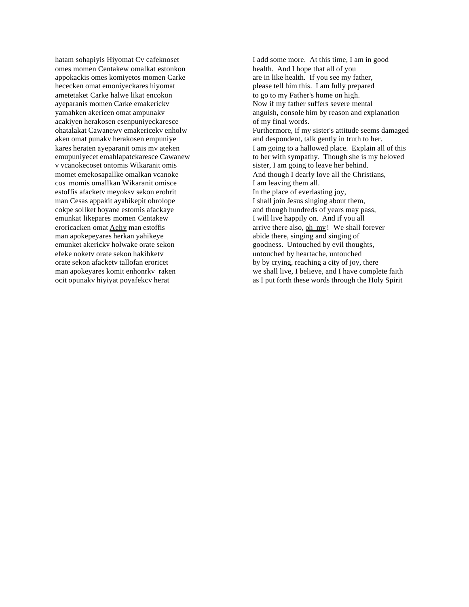hatam sohapiyis Hiyomat Cv cafeknoset omes momen Centakew omalkat estonkon appokackis omes komiyetos momen Carke hececken omat emoniyeckares hiyomat ametetaket Carke halwe likat encokon ayeparanis momen Carke emakerickv yamahken akericen omat ampunakv acakiyen herakosen esenpuniyeckaresce ohatalakat Cawanewv emakericekv enholw aken omat punakv herakosen empuniye kares heraten ayeparanit omis mv ateken emupuniyecet emahlapatckaresce Cawanew v vcanokecoset ontomis Wikaranit omis momet emekosapallke omalkan vcanoke cos momis omallkan Wikaranit omisce estoffis afacketv meyoksv sekon erohrit man Cesas appakit ayahikepit ohrolope cokpe sollket hoyane estomis afackaye emunkat likepares momen Centakew eroricacken omat Aehv man estoffis man apokepeyares herkan yahikeye emunket akerickv holwake orate sekon efeke noketv orate sekon hakihketv orate sekon afacketv tallofan eroricet man apokeyares komit enhonrkv raken ocit opunakv hiyiyat poyafekcv herat

I add some more. At this time, I am in good health. And I hope that all of you are in like health. If you see my father, please tell him this. I am fully prepared to go to my Father's home on high. Now if my father suffers severe mental anguish, console him by reason and explanation of my final words. Furthermore, if my sister's attitude seems damaged and despondent, talk gently in truth to her. I am going to a hallowed place. Explain all of this to her with sympathy. Though she is my beloved sister, I am going to leave her behind. And though I dearly love all the Christians, I am leaving them all. In the place of everlasting joy, I shall join Jesus singing about them, and though hundreds of years may pass, I will live happily on. And if you all arrive there also, oh my! We shall forever abide there, singing and singing of goodness. Untouched by evil thoughts, untouched by heartache, untouched by by crying, reaching a city of joy, there we shall live, I believe, and I have complete faith as I put forth these words through the Holy Spirit